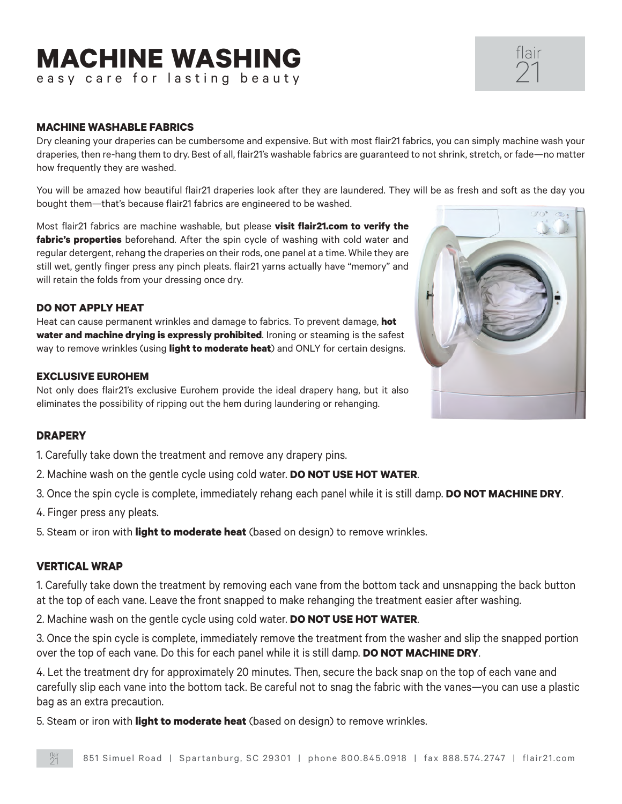# **MACHINE WASHING**

easy care for lasting beauty

### **MACHINE WASHABLE FABRICS**

Dry cleaning your draperies can be cumbersome and expensive. But with most flair21 fabrics, you can simply machine wash your draperies, then re-hang them to dry. Best of all, flair21's washable fabrics are guaranteed to not shrink, stretch, or fade—no matter how frequently they are washed.

You will be amazed how beautiful flair21 draperies look after they are laundered. They will be as fresh and soft as the day you bought them—that's because flair21 fabrics are engineered to be washed.

Most flair21 fabrics are machine washable, but please **visit flair21.com to verify the fabric's properties** beforehand. After the spin cycle of washing with cold water and regular detergent, rehang the draperies on their rods, one panel at a time. While they are still wet, gently finger press any pinch pleats. flair21 yarns actually have "memory" and will retain the folds from your dressing once dry.

# **DO NOT APPLY HEAT**

Heat can cause permanent wrinkles and damage to fabrics. To prevent damage, **hot water and machine drying is expressly prohibited**. Ironing or steaming is the safest way to remove wrinkles (using **light to moderate heat**) and ONLY for certain designs.

#### **EXCLUSIVE EUROHEM**

Not only does flair21's exclusive Eurohem provide the ideal drapery hang, but it also eliminates the possibility of ripping out the hem during laundering or rehanging.

# **DRAPERY**

1. Carefully take down the treatment and remove any drapery pins.

- 2. Machine wash on the gentle cycle using cold water. **DO NOT USE HOT WATER**.
- 3. Once the spin cycle is complete, immediately rehang each panel while it is still damp. **DO NOT MACHINE DRY**.
- 4. Finger press any pleats.

5. Steam or iron with **light to moderate heat** (based on design) to remove wrinkles.

#### **VERTICAL WRAP**

1. Carefully take down the treatment by removing each vane from the bottom tack and unsnapping the back button at the top of each vane. Leave the front snapped to make rehanging the treatment easier after washing.

2. Machine wash on the gentle cycle using cold water. **DO NOT USE HOT WATER**.

3. Once the spin cycle is complete, immediately remove the treatment from the washer and slip the snapped portion over the top of each vane. Do this for each panel while it is still damp. **DO NOT MACHINE DRY**.

4. Let the treatment dry for approximately 20 minutes. Then, secure the back snap on the top of each vane and carefully slip each vane into the bottom tack. Be careful not to snag the fabric with the vanes—you can use a plastic bag as an extra precaution.

5. Steam or iron with **light to moderate heat** (based on design) to remove wrinkles.